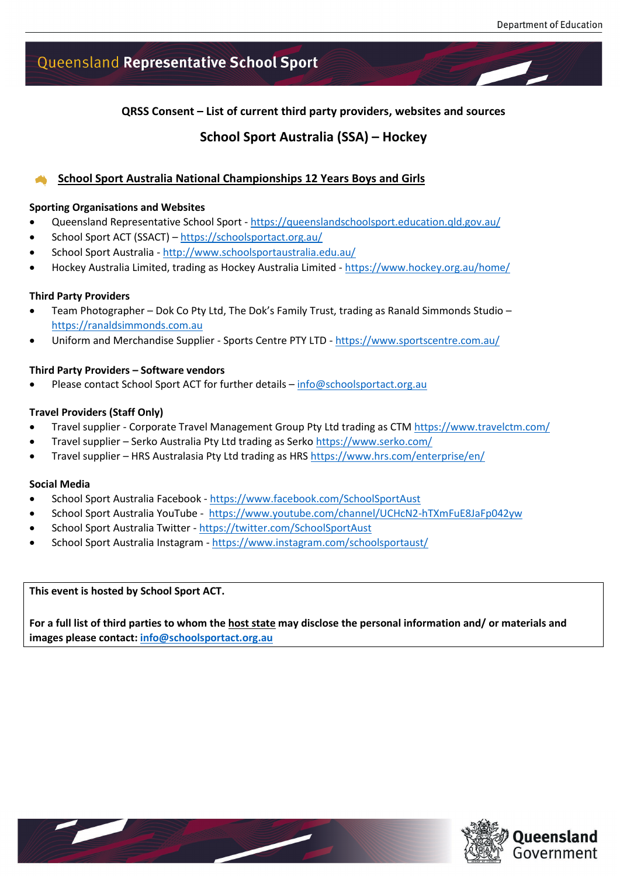# Queensland Representative School Sport

**QRSS Consent – List of current third party providers, websites and sources**

### **School Sport Australia (SSA) – Hockey**

### **School Sport Australia National Championships 12 Years Boys and Girls**

### **Sporting Organisations and Websites**

- Queensland Representative School Sport <https://queenslandschoolsport.education.qld.gov.au/>
- School Sport ACT (SSACT) <https://schoolsportact.org.au/>
- School Sport Australia <http://www.schoolsportaustralia.edu.au/>
- Hockey Australia Limited, trading as Hockey Australia Limited <https://www.hockey.org.au/home/>

### **Third Party Providers**

- Team Photographer Dok Co Pty Ltd, The Dok's Family Trust, trading as Ranald Simmonds Studio [https://ranaldsimmonds.com.au](https://ranaldsimmonds.com.au/)
- Uniform and Merchandise Supplier Sports Centre PTY LTD <https://www.sportscentre.com.au/>

#### **Third Party Providers – Software vendors**

Please contact School Sport ACT for further details - [info@schoolsportact.org.au](mailto:info@schoolsportact.org.au)

### **Travel Providers (Staff Only)**

- Travel supplier Corporate Travel Management Group Pty Ltd trading as CTM<https://www.travelctm.com/>
- Travel supplier Serko Australia Pty Ltd trading as Serko<https://www.serko.com/>
- Travel supplier HRS Australasia Pty Ltd trading as HRS<https://www.hrs.com/enterprise/en/>

### **Social Media**

- School Sport Australia Facebook <https://www.facebook.com/SchoolSportAust>
- School Sport Australia YouTube -<https://www.youtube.com/channel/UCHcN2-hTXmFuE8JaFp042yw>
- School Sport Australia Twitter <https://twitter.com/SchoolSportAust>
- School Sport Australia Instagram <https://www.instagram.com/schoolsportaust/>

**This event is hosted by School Sport ACT.**

**For a full list of third parties to whom the host state may disclose the personal information and/ or materials and images please contact: [info@schoolsportact.org.au](mailto:info@schoolsportact.org.au)**